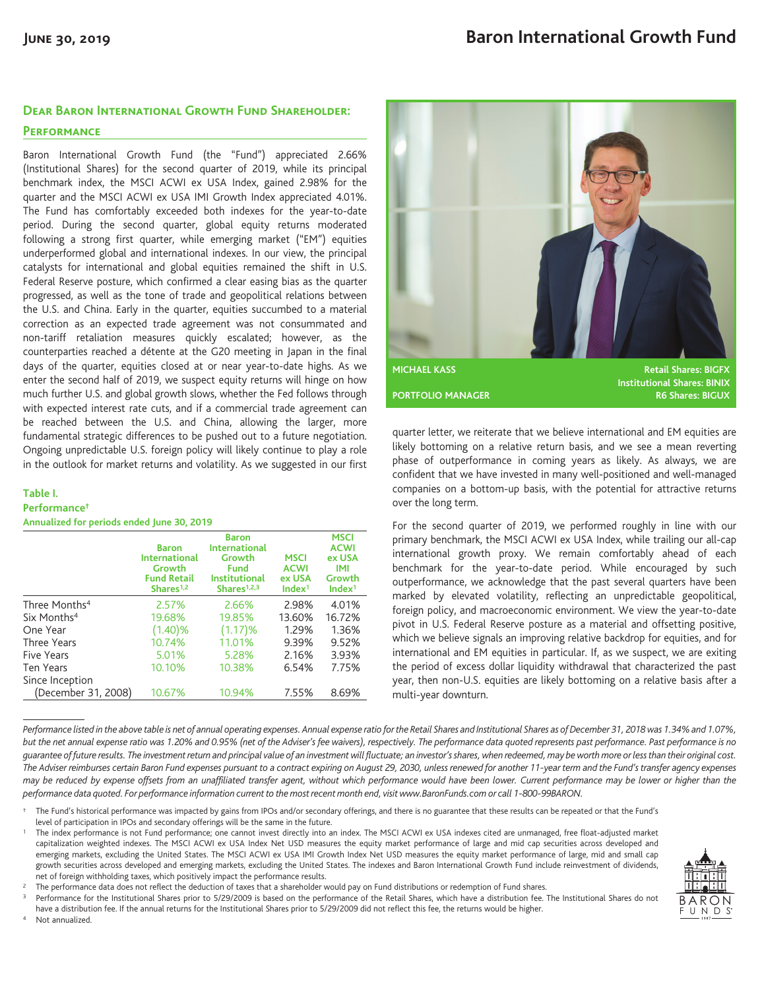## **Dear Baron International Growth Fund Shareholder:**

### **Performance**

Baron International Growth Fund (the "Fund") appreciated 2.66% (Institutional Shares) for the second quarter of 2019, while its principal benchmark index, the MSCI ACWI ex USA Index, gained 2.98% for the quarter and the MSCI ACWI ex USA IMI Growth Index appreciated 4.01%. The Fund has comfortably exceeded both indexes for the year-to-date period. During the second quarter, global equity returns moderated following a strong first quarter, while emerging market ("EM") equities underperformed global and international indexes. In our view, the principal catalysts for international and global equities remained the shift in U.S. Federal Reserve posture, which confirmed a clear easing bias as the quarter progressed, as well as the tone of trade and geopolitical relations between the U.S. and China. Early in the quarter, equities succumbed to a material correction as an expected trade agreement was not consummated and non-tariff retaliation measures quickly escalated; however, as the counterparties reached a détente at the G20 meeting in Japan in the final days of the quarter, equities closed at or near year-to-date highs. As we enter the second half of 2019, we suspect equity returns will hinge on how much further U.S. and global growth slows, whether the Fed follows through with expected interest rate cuts, and if a commercial trade agreement can be reached between the U.S. and China, allowing the larger, more fundamental strategic differences to be pushed out to a future negotiation. Ongoing unpredictable U.S. foreign policy will likely continue to play a role in the outlook for market returns and volatility. As we suggested in our first

#### **Table I. Performance†**

Not annualized.

**Annualized for periods ended June 30, 2019**

|                           | <b>Baron</b><br><b>International</b><br>Growth<br><b>Fund Retail</b><br>Shares $1,2$ | <b>Baron</b><br><b>International</b><br>Growth<br><b>Fund</b><br><b>Institutional</b><br>Shares $1,2,3$ | <b>MSCI</b><br><b>ACWI</b><br>ex USA<br>Index <sup>1</sup> | <b>MSCI</b><br><b>ACWI</b><br>ex USA<br>IMI<br>Growth<br>Index <sup>1</sup> |
|---------------------------|--------------------------------------------------------------------------------------|---------------------------------------------------------------------------------------------------------|------------------------------------------------------------|-----------------------------------------------------------------------------|
| Three Months <sup>4</sup> | 2.57%                                                                                | 2.66%                                                                                                   | 2.98%                                                      | 4.01%                                                                       |
| Six Months <sup>4</sup>   | 19.68%                                                                               | 19.85%                                                                                                  | 13.60%                                                     | 16.72%                                                                      |
| One Year                  | (1.40)%                                                                              | (1.17)%                                                                                                 | 1.29%                                                      | 1.36%                                                                       |
| Three Years               | 10.74%                                                                               | 11.01%                                                                                                  | 9.39%                                                      | 9.52%                                                                       |
| <b>Five Years</b>         | 5.01%                                                                                | 5.28%                                                                                                   | 2.16%                                                      | 3.93%                                                                       |
| Ten Years                 | 10.10%                                                                               | 10.38%                                                                                                  | 6.54%                                                      | 7.75%                                                                       |
| Since Inception           |                                                                                      |                                                                                                         |                                                            |                                                                             |
| (December 31, 2008)       | 10.67%                                                                               | 10.94%                                                                                                  | 7.55%                                                      | 8.69%                                                                       |



quarter letter, we reiterate that we believe international and EM equities are likely bottoming on a relative return basis, and we see a mean reverting phase of outperformance in coming years as likely. As always, we are confident that we have invested in many well-positioned and well-managed companies on a bottom-up basis, with the potential for attractive returns over the long term.

For the second quarter of 2019, we performed roughly in line with our primary benchmark, the MSCI ACWI ex USA Index, while trailing our all-cap international growth proxy. We remain comfortably ahead of each benchmark for the year-to-date period. While encouraged by such outperformance, we acknowledge that the past several quarters have been marked by elevated volatility, reflecting an unpredictable geopolitical, foreign policy, and macroeconomic environment. We view the year-to-date pivot in U.S. Federal Reserve posture as a material and offsetting positive, which we believe signals an improving relative backdrop for equities, and for international and EM equities in particular. If, as we suspect, we are exiting the period of excess dollar liquidity withdrawal that characterized the past year, then non-U.S. equities are likely bottoming on a relative basis after a multi-year downturn.

*Performance listed in the above table is net of annual operating expenses. Annual expense ratio for the Retail Shares and Institutional Shares as of December 31, 2018 was 1.34% and 1.07%, but the net annual expense ratio was 1.20% and 0.95% (net of the Adviser's fee waivers), respectively. The performance data quoted represents past performance. Past performance is no guarantee of future results. The investment return and principal value of an investment will fluctuate; an investor's shares, when redeemed, may be worth more or less than their original cost. The Adviser reimburses certain Baron Fund expenses pursuant to a contract expiring on August 29, 2030, unless renewed for another 11-year term and the Fund's transfer agency expenses may be reduced by expense offsets from an unaffiliated transfer agent, without which performance would have been lower. Current performance may be lower or higher than the performance data quoted. For performance information current to the most recent month end, visit www.BaronFunds.com or call 1-800-99BARON.*

<sup>1</sup> The index performance is not Fund performance; one cannot invest directly into an index. The MSCI ACWI ex USA indexes cited are unmanaged, free float-adjusted market capitalization weighted indexes. The MSCI ACWI ex USA Index Net USD measures the equity market performance of large and mid cap securities across developed and emerging markets, excluding the United States. The MSCI ACWI ex USA IMI Growth Index Net USD measures the equity market performance of large, mid and small cap growth securities across developed and emerging markets, excluding the United States. The indexes and Baron International Growth Fund include reinvestment of dividends, net of foreign withholding taxes, which positively impact the performance results.



Performance for the Institutional Shares prior to 5/29/2009 is based on the performance of the Retail Shares, which have a distribution fee. The Institutional Shares do not have a distribution fee. If the annual returns for the Institutional Shares prior to 5/29/2009 did not reflect this fee, the returns would be higher.



The Fund's historical performance was impacted by gains from IPOs and/or secondary offerings, and there is no guarantee that these results can be repeated or that the Fund's level of participation in IPOs and secondary offerings will be the same in the future.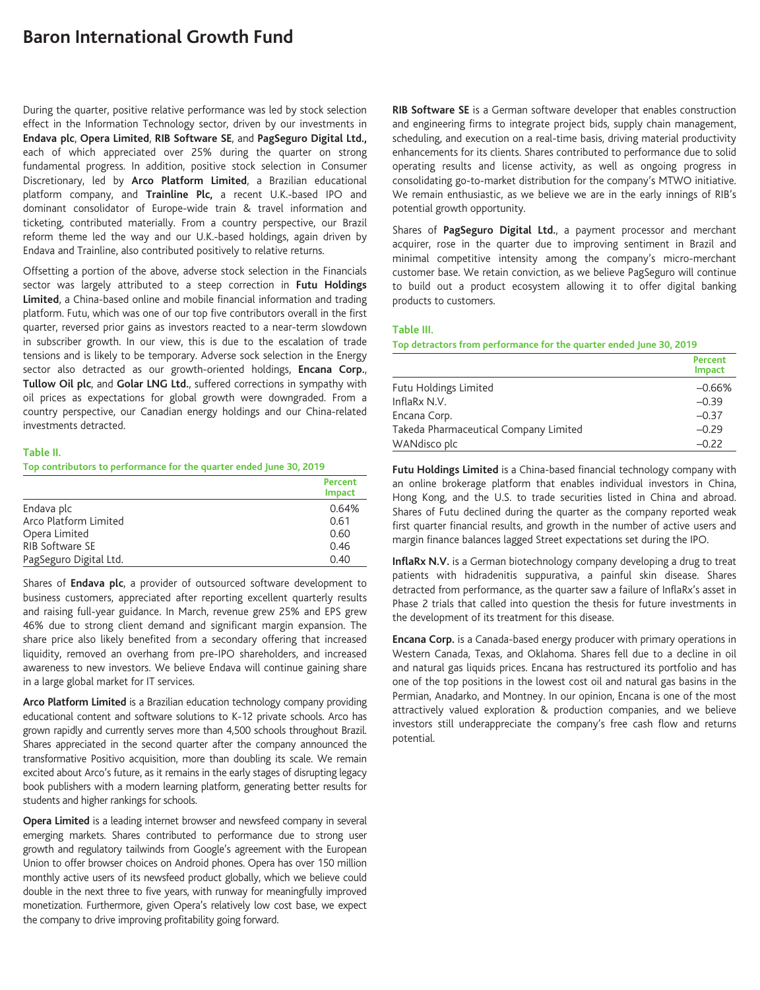# **Baron International Growth Fund**

During the quarter, positive relative performance was led by stock selection effect in the Information Technology sector, driven by our investments in **Endava plc**, **Opera Limited**, **RIB Software SE**, and **PagSeguro Digital Ltd.,** each of which appreciated over 25% during the quarter on strong fundamental progress. In addition, positive stock selection in Consumer Discretionary, led by **Arco Platform Limited**, a Brazilian educational platform company, and **Trainline Plc,** a recent U.K.-based IPO and dominant consolidator of Europe-wide train & travel information and ticketing, contributed materially. From a country perspective, our Brazil reform theme led the way and our U.K.-based holdings, again driven by Endava and Trainline, also contributed positively to relative returns.

Offsetting a portion of the above, adverse stock selection in the Financials sector was largely attributed to a steep correction in **Futu Holdings Limited**, a China-based online and mobile financial information and trading platform. Futu, which was one of our top five contributors overall in the first quarter, reversed prior gains as investors reacted to a near-term slowdown in subscriber growth. In our view, this is due to the escalation of trade tensions and is likely to be temporary. Adverse sock selection in the Energy sector also detracted as our growth-oriented holdings, **Encana Corp.**, **Tullow Oil plc**, and **Golar LNG Ltd.**, suffered corrections in sympathy with oil prices as expectations for global growth were downgraded. From a country perspective, our Canadian energy holdings and our China-related investments detracted.

### **Table II.**

**Top contributors to performance for the quarter ended June 30, 2019**

|                        | Percent<br><b>Impact</b> |
|------------------------|--------------------------|
| Endava plc             | 0.64%                    |
| Arco Platform Limited  | 0.61                     |
| Opera Limited          | 0.60                     |
| RIB Software SE        | 0.46                     |
| PagSeguro Digital Ltd. | 0.40                     |

Shares of **Endava plc**, a provider of outsourced software development to business customers, appreciated after reporting excellent quarterly results and raising full-year guidance. In March, revenue grew 25% and EPS grew 46% due to strong client demand and significant margin expansion. The share price also likely benefited from a secondary offering that increased liquidity, removed an overhang from pre-IPO shareholders, and increased awareness to new investors. We believe Endava will continue gaining share in a large global market for IT services.

**Arco Platform Limited** is a Brazilian education technology company providing educational content and software solutions to K-12 private schools. Arco has grown rapidly and currently serves more than 4,500 schools throughout Brazil. Shares appreciated in the second quarter after the company announced the transformative Positivo acquisition, more than doubling its scale. We remain excited about Arco's future, as it remains in the early stages of disrupting legacy book publishers with a modern learning platform, generating better results for students and higher rankings for schools.

**Opera Limited** is a leading internet browser and newsfeed company in several emerging markets. Shares contributed to performance due to strong user growth and regulatory tailwinds from Google's agreement with the European Union to offer browser choices on Android phones. Opera has over 150 million monthly active users of its newsfeed product globally, which we believe could double in the next three to five years, with runway for meaningfully improved monetization. Furthermore, given Opera's relatively low cost base, we expect the company to drive improving profitability going forward.

**RIB Software SE** is a German software developer that enables construction and engineering firms to integrate project bids, supply chain management, scheduling, and execution on a real-time basis, driving material productivity enhancements for its clients. Shares contributed to performance due to solid operating results and license activity, as well as ongoing progress in consolidating go-to-market distribution for the company's MTWO initiative. We remain enthusiastic, as we believe we are in the early innings of RIB's potential growth opportunity.

Shares of **PagSeguro Digital Ltd.**, a payment processor and merchant acquirer, rose in the quarter due to improving sentiment in Brazil and minimal competitive intensity among the company's micro-merchant customer base. We retain conviction, as we believe PagSeguro will continue to build out a product ecosystem allowing it to offer digital banking products to customers.

#### **Table III.**

**Top detractors from performance for the quarter ended June 30, 2019**

|                                       | Percent<br><b>Impact</b> |
|---------------------------------------|--------------------------|
| Futu Holdings Limited                 | $-0.66%$                 |
| InflaRx N.V.                          | $-0.39$                  |
| Encana Corp.                          | $-0.37$                  |
| Takeda Pharmaceutical Company Limited | $-0.29$                  |
| WANdisco plc                          | $-0.22$                  |

**Futu Holdings Limited** is a China-based financial technology company with an online brokerage platform that enables individual investors in China, Hong Kong, and the U.S. to trade securities listed in China and abroad. Shares of Futu declined during the quarter as the company reported weak first quarter financial results, and growth in the number of active users and margin finance balances lagged Street expectations set during the IPO.

**InflaRx N.V.** is a German biotechnology company developing a drug to treat patients with hidradenitis suppurativa, a painful skin disease. Shares detracted from performance, as the quarter saw a failure of InflaRx's asset in Phase 2 trials that called into question the thesis for future investments in the development of its treatment for this disease.

**Encana Corp.** is a Canada-based energy producer with primary operations in Western Canada, Texas, and Oklahoma. Shares fell due to a decline in oil and natural gas liquids prices. Encana has restructured its portfolio and has one of the top positions in the lowest cost oil and natural gas basins in the Permian, Anadarko, and Montney. In our opinion, Encana is one of the most attractively valued exploration & production companies, and we believe investors still underappreciate the company's free cash flow and returns potential.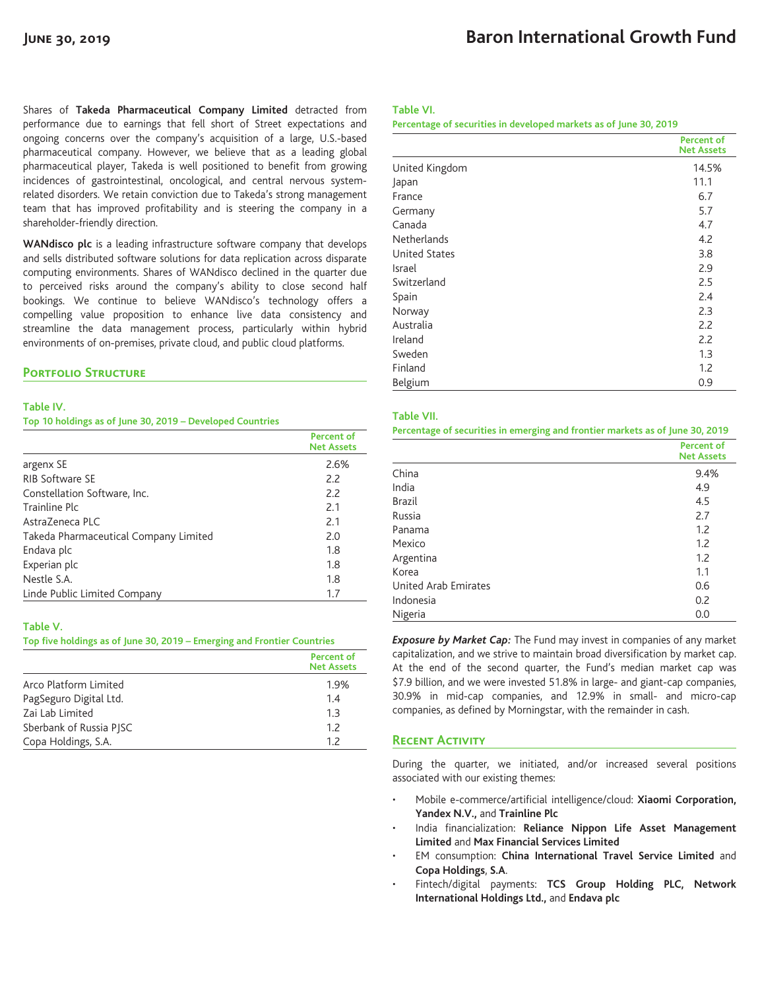Shares of **Takeda Pharmaceutical Company Limited** detracted from performance due to earnings that fell short of Street expectations and ongoing concerns over the company's acquisition of a large, U.S.-based pharmaceutical company. However, we believe that as a leading global pharmaceutical player, Takeda is well positioned to benefit from growing incidences of gastrointestinal, oncological, and central nervous systemrelated disorders. We retain conviction due to Takeda's strong management team that has improved profitability and is steering the company in a shareholder-friendly direction.

**WANdisco plc** is a leading infrastructure software company that develops and sells distributed software solutions for data replication across disparate computing environments. Shares of WANdisco declined in the quarter due to perceived risks around the company's ability to close second half bookings. We continue to believe WANdisco's technology offers a compelling value proposition to enhance live data consistency and streamline the data management process, particularly within hybrid environments of on-premises, private cloud, and public cloud platforms.

#### **PORTFOLIO STRUCTURE**

#### **Table IV.**

**Top 10 holdings as of June 30, 2019 – Developed Countries**

|                                       | Percent of<br><b>Net Assets</b> |
|---------------------------------------|---------------------------------|
| argenx SE                             | 2.6%                            |
| <b>RIB Software SE</b>                | 2.2                             |
| Constellation Software, Inc.          | 2.2                             |
| Trainline Plc                         | 2.1                             |
| AstraZeneca PLC                       | 2.1                             |
| Takeda Pharmaceutical Company Limited | 2.0                             |
| Endava plc                            | 1.8                             |
| Experian plc                          | 1.8                             |
| Nestle S.A.                           | 1.8                             |
| Linde Public Limited Company          | 1.7                             |

#### **Table V.**

**Top five holdings as of June 30, 2019 – Emerging and Frontier Countries**

|                         | <b>Percent of</b><br><b>Net Assets</b> |
|-------------------------|----------------------------------------|
| Arco Platform Limited   | 1.9%                                   |
| PagSeguro Digital Ltd.  | 1.4                                    |
| Zai Lab Limited         | 1.3                                    |
| Sberbank of Russia PISC | 12                                     |
| Copa Holdings, S.A.     | 12                                     |

#### **Table VI.**

**Percentage of securities in developed markets as of June 30, 2019**

|                      | <b>Percent of</b><br><b>Net Assets</b> |
|----------------------|----------------------------------------|
| United Kingdom       | 14.5%                                  |
| Japan                | 11.1                                   |
| France               | 6.7                                    |
| Germany              | 5.7                                    |
| Canada               | 4.7                                    |
| <b>Netherlands</b>   | 4.2                                    |
| <b>United States</b> | 3.8                                    |
| Israel               | 2.9                                    |
| Switzerland          | 2.5                                    |
| Spain                | 2.4                                    |
| Norway               | 2.3                                    |
| Australia            | 2.2                                    |
| Ireland              | 2.2                                    |
| Sweden               | 1.3                                    |
| Finland              | 1.2                                    |
| Belgium              | 0.9                                    |

#### **Table VII.**

**Percentage of securities in emerging and frontier markets as of June 30, 2019**

|                      | <b>Percent of</b><br><b>Net Assets</b> |
|----------------------|----------------------------------------|
| China                | 9.4%                                   |
| India                | 4.9                                    |
| <b>Brazil</b>        | 4.5                                    |
| Russia               | 2.7                                    |
| Panama               | 1.2                                    |
| Mexico               | 1.2                                    |
| Argentina            | 1.2                                    |
| Korea                | 1.1                                    |
| United Arab Emirates | 0.6                                    |
| Indonesia            | 0.2                                    |
| Nigeria              | 0.0                                    |

*Exposure by Market Cap:* The Fund may invest in companies of any market capitalization, and we strive to maintain broad diversification by market cap. At the end of the second quarter, the Fund's median market cap was \$7.9 billion, and we were invested 51.8% in large- and giant-cap companies, 30.9% in mid-cap companies, and 12.9% in small- and micro-cap companies, as defined by Morningstar, with the remainder in cash.

### **Recent Activity**

During the quarter, we initiated, and/or increased several positions associated with our existing themes:

- Mobile e-commerce/artificial intelligence/cloud: **Xiaomi Corporation, Yandex N.V.,** and **Trainline Plc**
- India financialization: **Reliance Nippon Life Asset Management Limited** and **Max Financial Services Limited**
- EM consumption: **China International Travel Service Limited** and **Copa Holdings**, **S.A**.
- Fintech/digital payments: **TCS Group Holding PLC, Network International Holdings Ltd.,** and **Endava plc**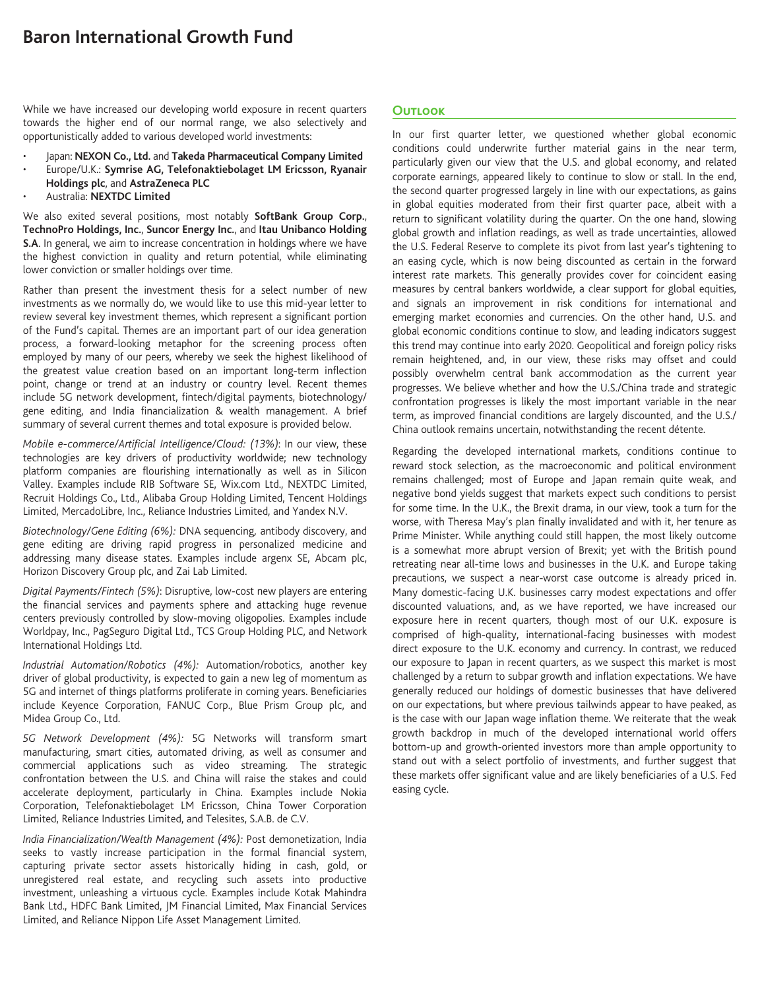While we have increased our developing world exposure in recent quarters towards the higher end of our normal range, we also selectively and opportunistically added to various developed world investments:

- Japan: **NEXON Co., Ltd.** and **Takeda Pharmaceutical Company Limited**
- Europe/U.K.: **Symrise AG, Telefonaktiebolaget LM Ericsson, Ryanair Holdings plc**, and **AstraZeneca PLC**
- Australia: **NEXTDC Limited**

We also exited several positions, most notably **SoftBank Group Corp.**, **TechnoPro Holdings, Inc.**, **Suncor Energy Inc.**, and **Itau Unibanco Holding S.A**. In general, we aim to increase concentration in holdings where we have the highest conviction in quality and return potential, while eliminating lower conviction or smaller holdings over time.

Rather than present the investment thesis for a select number of new investments as we normally do, we would like to use this mid-year letter to review several key investment themes, which represent a significant portion of the Fund's capital. Themes are an important part of our idea generation process, a forward-looking metaphor for the screening process often employed by many of our peers, whereby we seek the highest likelihood of the greatest value creation based on an important long-term inflection point, change or trend at an industry or country level. Recent themes include 5G network development, fintech/digital payments, biotechnology/ gene editing, and India financialization & wealth management. A brief summary of several current themes and total exposure is provided below.

*Mobile e-commerce/Artificial Intelligence/Cloud: (13%)*: In our view, these technologies are key drivers of productivity worldwide; new technology platform companies are flourishing internationally as well as in Silicon Valley. Examples include RIB Software SE, Wix.com Ltd., NEXTDC Limited, Recruit Holdings Co., Ltd., Alibaba Group Holding Limited, Tencent Holdings Limited, MercadoLibre, Inc., Reliance Industries Limited, and Yandex N.V.

*Biotechnology/Gene Editing (6%):* DNA sequencing*,* antibody discovery, and gene editing are driving rapid progress in personalized medicine and addressing many disease states. Examples include argenx SE, Abcam plc, Horizon Discovery Group plc, and Zai Lab Limited.

*Digital Payments/Fintech (5%)*: Disruptive, low-cost new players are entering the financial services and payments sphere and attacking huge revenue centers previously controlled by slow-moving oligopolies. Examples include Worldpay, Inc., PagSeguro Digital Ltd., TCS Group Holding PLC, and Network International Holdings Ltd.

*Industrial Automation/Robotics (4%):* Automation/robotics, another key driver of global productivity, is expected to gain a new leg of momentum as 5G and internet of things platforms proliferate in coming years. Beneficiaries include Keyence Corporation, FANUC Corp., Blue Prism Group plc, and Midea Group Co., Ltd.

*5G Network Development (4%):* 5G Networks will transform smart manufacturing, smart cities, automated driving, as well as consumer and commercial applications such as video streaming*.* The strategic confrontation between the U.S. and China will raise the stakes and could accelerate deployment, particularly in China. Examples include Nokia Corporation, Telefonaktiebolaget LM Ericsson, China Tower Corporation Limited, Reliance Industries Limited, and Telesites, S.A.B. de C.V.

*India Financialization/Wealth Management (4%):* Post demonetization, India seeks to vastly increase participation in the formal financial system, capturing private sector assets historically hiding in cash, gold, or unregistered real estate, and recycling such assets into productive investment, unleashing a virtuous cycle. Examples include Kotak Mahindra Bank Ltd., HDFC Bank Limited, JM Financial Limited, Max Financial Services Limited, and Reliance Nippon Life Asset Management Limited.

## **Outlook**

In our first quarter letter, we questioned whether global economic conditions could underwrite further material gains in the near term, particularly given our view that the U.S. and global economy, and related corporate earnings, appeared likely to continue to slow or stall. In the end, the second quarter progressed largely in line with our expectations, as gains in global equities moderated from their first quarter pace, albeit with a return to significant volatility during the quarter. On the one hand, slowing global growth and inflation readings, as well as trade uncertainties, allowed the U.S. Federal Reserve to complete its pivot from last year's tightening to an easing cycle, which is now being discounted as certain in the forward interest rate markets. This generally provides cover for coincident easing measures by central bankers worldwide, a clear support for global equities, and signals an improvement in risk conditions for international and emerging market economies and currencies. On the other hand, U.S. and global economic conditions continue to slow, and leading indicators suggest this trend may continue into early 2020. Geopolitical and foreign policy risks remain heightened, and, in our view, these risks may offset and could possibly overwhelm central bank accommodation as the current year progresses. We believe whether and how the U.S./China trade and strategic confrontation progresses is likely the most important variable in the near term, as improved financial conditions are largely discounted, and the U.S./ China outlook remains uncertain, notwithstanding the recent détente.

Regarding the developed international markets, conditions continue to reward stock selection, as the macroeconomic and political environment remains challenged; most of Europe and Japan remain quite weak, and negative bond yields suggest that markets expect such conditions to persist for some time. In the U.K., the Brexit drama, in our view, took a turn for the worse, with Theresa May's plan finally invalidated and with it, her tenure as Prime Minister. While anything could still happen, the most likely outcome is a somewhat more abrupt version of Brexit; yet with the British pound retreating near all-time lows and businesses in the U.K. and Europe taking precautions, we suspect a near-worst case outcome is already priced in. Many domestic-facing U.K. businesses carry modest expectations and offer discounted valuations, and, as we have reported, we have increased our exposure here in recent quarters, though most of our U.K. exposure is comprised of high-quality, international-facing businesses with modest direct exposure to the U.K. economy and currency. In contrast, we reduced our exposure to Japan in recent quarters, as we suspect this market is most challenged by a return to subpar growth and inflation expectations. We have generally reduced our holdings of domestic businesses that have delivered on our expectations, but where previous tailwinds appear to have peaked, as is the case with our Japan wage inflation theme. We reiterate that the weak growth backdrop in much of the developed international world offers bottom-up and growth-oriented investors more than ample opportunity to stand out with a select portfolio of investments, and further suggest that these markets offer significant value and are likely beneficiaries of a U.S. Fed easing cycle.